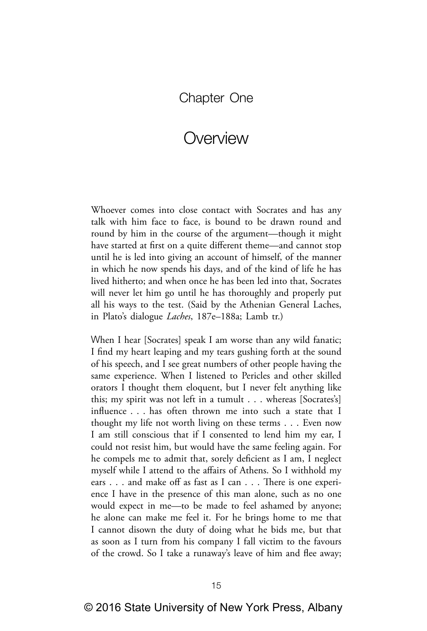# Chapter One

# **Overview**

Whoever comes into close contact with Socrates and has any talk with him face to face, is bound to be drawn round and round by him in the course of the argument—though it might have started at first on a quite different theme—and cannot stop until he is led into giving an account of himself, of the manner in which he now spends his days, and of the kind of life he has lived hitherto; and when once he has been led into that, Socrates will never let him go until he has thoroughly and properly put all his ways to the test. (Said by the Athenian General Laches, in Plato's dialogue *Laches*, 187e–188a; Lamb tr.)

When I hear [Socrates] speak I am worse than any wild fanatic; I find my heart leaping and my tears gushing forth at the sound of his speech, and I see great numbers of other people having the same experience. When I listened to Pericles and other skilled orators I thought them eloquent, but I never felt anything like this; my spirit was not left in a tumult . . . whereas [Socrates's] influence . . . has often thrown me into such a state that I thought my life not worth living on these terms . . . Even now I am still conscious that if I consented to lend him my ear, I could not resist him, but would have the same feeling again. For he compels me to admit that, sorely deficient as I am, I neglect myself while I attend to the affairs of Athens. So I withhold my ears . . . and make off as fast as I can . . . There is one experience I have in the presence of this man alone, such as no one would expect in me—to be made to feel ashamed by anyone; he alone can make me feel it. For he brings home to me that I cannot disown the duty of doing what he bids me, but that as soon as I turn from his company I fall victim to the favours of the crowd. So I take a runaway's leave of him and flee away;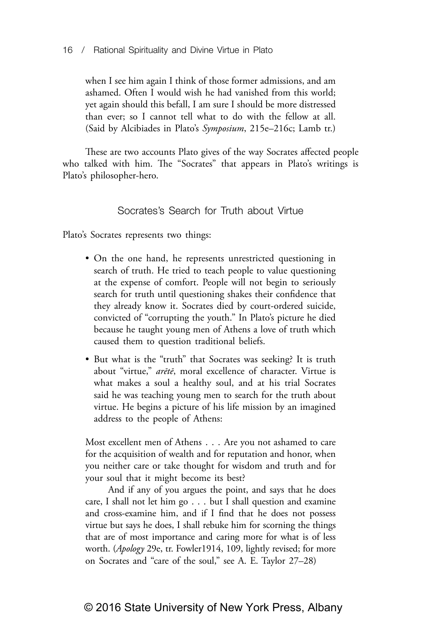when I see him again I think of those former admissions, and am ashamed. Often I would wish he had vanished from this world; yet again should this befall, I am sure I should be more distressed than ever; so I cannot tell what to do with the fellow at all. (Said by Alcibiades in Plato's *Symposium*, 215e–216c; Lamb tr.)

These are two accounts Plato gives of the way Socrates affected people who talked with him. The "Socrates" that appears in Plato's writings is Plato's philosopher-hero.

#### Socrates's Search for Truth about Virtue

Plato's Socrates represents two things:

- On the one hand, he represents unrestricted questioning in search of truth. He tried to teach people to value questioning at the expense of comfort. People will not begin to seriously search for truth until questioning shakes their confidence that they already know it. Socrates died by court-ordered suicide, convicted of "corrupting the youth." In Plato's picture he died because he taught young men of Athens a love of truth which caused them to question traditional beliefs.
- But what is the "truth" that Socrates was seeking? It is truth about "virtue," *arētē*, moral excellence of character. Virtue is what makes a soul a healthy soul, and at his trial Socrates said he was teaching young men to search for the truth about virtue. He begins a picture of his life mission by an imagined address to the people of Athens:

Most excellent men of Athens . . . Are you not ashamed to care for the acquisition of wealth and for reputation and honor, when you neither care or take thought for wisdom and truth and for your soul that it might become its best?

And if any of you argues the point, and says that he does care, I shall not let him go . . . but I shall question and examine and cross-examine him, and if I find that he does not possess virtue but says he does, I shall rebuke him for scorning the things that are of most importance and caring more for what is of less worth. (*Apology* 29e, tr. Fowler1914, 109, lightly revised; for more on Socrates and "care of the soul," see A. E. Taylor 27–28)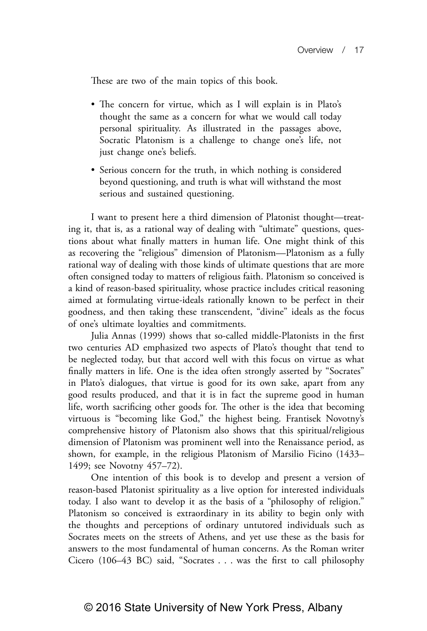These are two of the main topics of this book.

- The concern for virtue, which as I will explain is in Plato's thought the same as a concern for what we would call today personal spirituality. As illustrated in the passages above, Socratic Platonism is a challenge to change one's life, not just change one's beliefs.
- Serious concern for the truth, in which nothing is considered beyond questioning, and truth is what will withstand the most serious and sustained questioning.

I want to present here a third dimension of Platonist thought—treating it, that is, as a rational way of dealing with "ultimate" questions, questions about what finally matters in human life. One might think of this as recovering the "religious" dimension of Platonism—Platonism as a fully rational way of dealing with those kinds of ultimate questions that are more often consigned today to matters of religious faith. Platonism so conceived is a kind of reason-based spirituality, whose practice includes critical reasoning aimed at formulating virtue-ideals rationally known to be perfect in their goodness, and then taking these transcendent, "divine" ideals as the focus of one's ultimate loyalties and commitments.

Julia Annas (1999) shows that so-called middle-Platonists in the first two centuries AD emphasized two aspects of Plato's thought that tend to be neglected today, but that accord well with this focus on virtue as what finally matters in life. One is the idea often strongly asserted by "Socrates" in Plato's dialogues, that virtue is good for its own sake, apart from any good results produced, and that it is in fact the supreme good in human life, worth sacrificing other goods for. The other is the idea that becoming virtuous is "becoming like God," the highest being. Frantisek Novotny's comprehensive history of Platonism also shows that this spiritual/religious dimension of Platonism was prominent well into the Renaissance period, as shown, for example, in the religious Platonism of Marsilio Ficino (1433– 1499; see Novotny 457–72).

One intention of this book is to develop and present a version of reason-based Platonist spirituality as a live option for interested individuals today. I also want to develop it as the basis of a "philosophy of religion." Platonism so conceived is extraordinary in its ability to begin only with the thoughts and perceptions of ordinary untutored individuals such as Socrates meets on the streets of Athens, and yet use these as the basis for answers to the most fundamental of human concerns. As the Roman writer Cicero (106–43 BC) said, "Socrates . . . was the first to call philosophy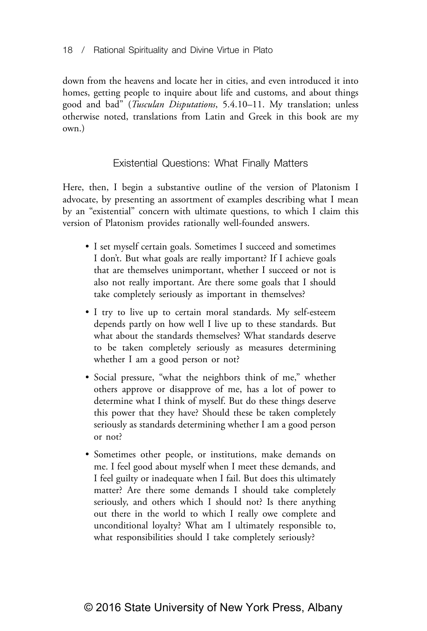### 18 / Rational Spirituality and Divine Virtue in Plato

down from the heavens and locate her in cities, and even introduced it into homes, getting people to inquire about life and customs, and about things good and bad" (*Tusculan Disputations*, 5.4.10–11. My translation; unless otherwise noted, translations from Latin and Greek in this book are my own.)

## Existential Questions: What Finally Matters

Here, then, I begin a substantive outline of the version of Platonism I advocate, by presenting an assortment of examples describing what I mean by an "existential" concern with ultimate questions, to which I claim this version of Platonism provides rationally well-founded answers.

- I set myself certain goals. Sometimes I succeed and sometimes I don't. But what goals are really important? If I achieve goals that are themselves unimportant, whether I succeed or not is also not really important. Are there some goals that I should take completely seriously as important in themselves?
- I try to live up to certain moral standards. My self-esteem depends partly on how well I live up to these standards. But what about the standards themselves? What standards deserve to be taken completely seriously as measures determining whether I am a good person or not?
- Social pressure, "what the neighbors think of me," whether others approve or disapprove of me, has a lot of power to determine what I think of myself. But do these things deserve this power that they have? Should these be taken completely seriously as standards determining whether I am a good person or not?
- Sometimes other people, or institutions, make demands on me. I feel good about myself when I meet these demands, and I feel guilty or inadequate when I fail. But does this ultimately matter? Are there some demands I should take completely seriously, and others which I should not? Is there anything out there in the world to which I really owe complete and unconditional loyalty? What am I ultimately responsible to, what responsibilities should I take completely seriously?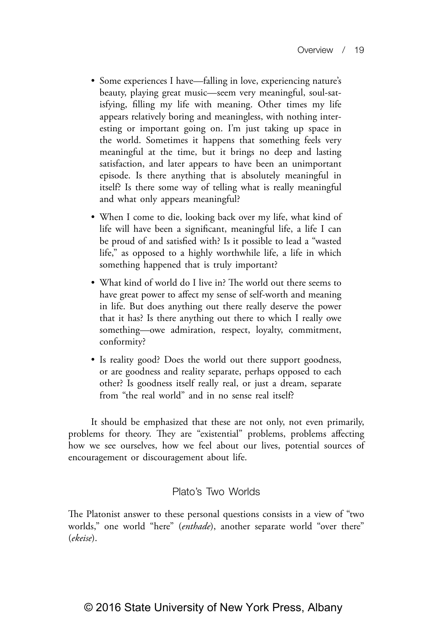- Some experiences I have—falling in love, experiencing nature's beauty, playing great music—seem very meaningful, soul-satisfying, filling my life with meaning. Other times my life appears relatively boring and meaningless, with nothing interesting or important going on. I'm just taking up space in the world. Sometimes it happens that something feels very meaningful at the time, but it brings no deep and lasting satisfaction, and later appears to have been an unimportant episode. Is there anything that is absolutely meaningful in itself? Is there some way of telling what is really meaningful and what only appears meaningful?
- When I come to die, looking back over my life, what kind of life will have been a significant, meaningful life, a life I can be proud of and satisfied with? Is it possible to lead a "wasted life," as opposed to a highly worthwhile life, a life in which something happened that is truly important?
- What kind of world do I live in? The world out there seems to have great power to affect my sense of self-worth and meaning in life. But does anything out there really deserve the power that it has? Is there anything out there to which I really owe something—owe admiration, respect, loyalty, commitment, conformity?
- Is reality good? Does the world out there support goodness, or are goodness and reality separate, perhaps opposed to each other? Is goodness itself really real, or just a dream, separate from "the real world" and in no sense real itself?

It should be emphasized that these are not only, not even primarily, problems for theory. They are "existential" problems, problems affecting how we see ourselves, how we feel about our lives, potential sources of encouragement or discouragement about life.

## Plato's Two Worlds

The Platonist answer to these personal questions consists in a view of "two worlds," one world "here" (*enthade*), another separate world "over there" (*ekeise*).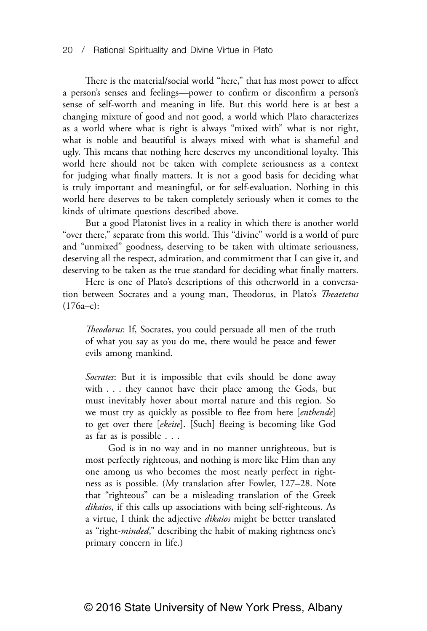#### 20 / Rational Spirituality and Divine Virtue in Plato

There is the material/social world "here," that has most power to affect a person's senses and feelings—power to confirm or disconfirm a person's sense of self-worth and meaning in life. But this world here is at best a changing mixture of good and not good, a world which Plato characterizes as a world where what is right is always "mixed with" what is not right, what is noble and beautiful is always mixed with what is shameful and ugly. This means that nothing here deserves my unconditional loyalty. This world here should not be taken with complete seriousness as a context for judging what finally matters. It is not a good basis for deciding what is truly important and meaningful, or for self-evaluation. Nothing in this world here deserves to be taken completely seriously when it comes to the kinds of ultimate questions described above.

But a good Platonist lives in a reality in which there is another world "over there," separate from this world. This "divine" world is a world of pure and "unmixed" goodness, deserving to be taken with ultimate seriousness, deserving all the respect, admiration, and commitment that I can give it, and deserving to be taken as the true standard for deciding what finally matters.

Here is one of Plato's descriptions of this otherworld in a conversation between Socrates and a young man, Theodorus, in Plato's *Theaetetus*   $(176a-c):$ 

*Theodorus*: If, Socrates, you could persuade all men of the truth of what you say as you do me, there would be peace and fewer evils among mankind.

*Socrates*: But it is impossible that evils should be done away with . . . they cannot have their place among the Gods, but must inevitably hover about mortal nature and this region. So we must try as quickly as possible to flee from here [*enthende*] to get over there [*ekeise*]. [Such] fleeing is becoming like God as far as is possible . . .

God is in no way and in no manner unrighteous, but is most perfectly righteous, and nothing is more like Him than any one among us who becomes the most nearly perfect in rightness as is possible. (My translation after Fowler, 127–28. Note that "righteous" can be a misleading translation of the Greek *dikaios*, if this calls up associations with being self-righteous. As a virtue, I think the adjective *dikaios* might be better translated as "right-*minded*," describing the habit of making rightness one's primary concern in life.)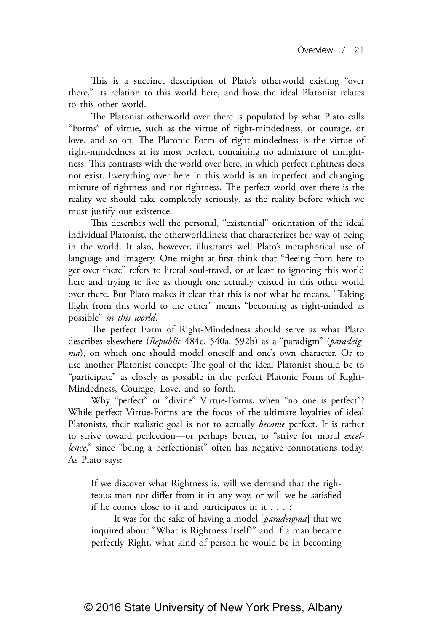This is a succinct description of Plato's otherworld existing "over there," its relation to this world here, and how the ideal Platonist relates to this other world.

The Platonist otherworld over there is populated by what Plato calls "Forms" of virtue, such as the virtue of right-mindedness, or courage, or love, and so on. The Platonic Form of right-mindedness is the virtue of right-mindedness at its most perfect, containing no admixture of unrightness. This contrasts with the world over here, in which perfect rightness does not exist. Everything over here in this world is an imperfect and changing mixture of rightness and not-rightness. The perfect world over there is the reality we should take completely seriously, as the reality before which we must justify our existence.

This describes well the personal, "existential" orientation of the ideal individual Platonist, the otherworldliness that characterizes her way of being in the world. It also, however, illustrates well Plato's metaphorical use of language and imagery. One might at first think that "fleeing from here to get over there" refers to literal soul-travel, or at least to ignoring this world here and trying to live as though one actually existed in this other world over there. But Plato makes it clear that this is not what he means. "Taking flight from this world to the other" means "becoming as right-minded as possible" *in this world*.

The perfect Form of Right-Mindedness should serve as what Plato describes elsewhere (*Republic* 484c, 540a, 592b) as a "paradigm" (*paradeigma*), on which one should model oneself and one's own character. Or to use another Platonist concept: The goal of the ideal Platonist should be to "participate" as closely as possible in the perfect Platonic Form of Right-Mindedness, Courage, Love, and so forth.

Why "perfect" or "divine" Virtue-Forms, when "no one is perfect"? While perfect Virtue-Forms are the focus of the ultimate loyalties of ideal Platonists, their realistic goal is not to actually *become* perfect. It is rather to strive toward perfection—or perhaps better, to "strive for moral *excellence*," since "being a perfectionist" often has negative connotations today. As Plato says:

If we discover what Rightness is, will we demand that the righteous man not differ from it in any way, or will we be satisfied if he comes close to it and participates in it . . . ?

It was for the sake of having a model [*paradeigma*] that we inquired about "What is Rightness Itself?" and if a man became perfectly Right, what kind of person he would be in becoming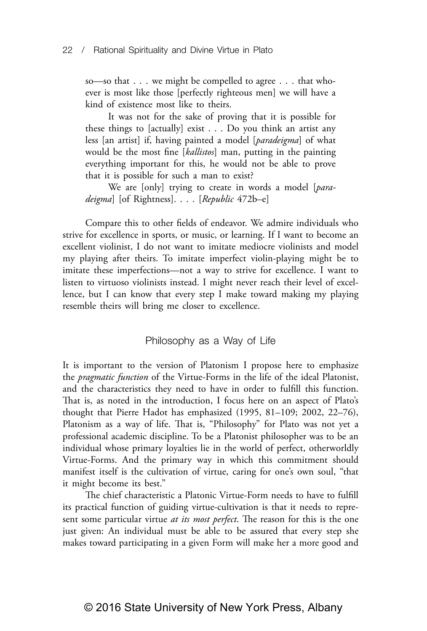so—so that . . . we might be compelled to agree . . . that whoever is most like those [perfectly righteous men] we will have a kind of existence most like to theirs.

It was not for the sake of proving that it is possible for these things to [actually] exist . . . Do you think an artist any less [an artist] if, having painted a model [*paradeigma*] of what would be the most fine [*kallistos*] man, putting in the painting everything important for this, he would not be able to prove that it is possible for such a man to exist?

We are [only] trying to create in words a model [*paradeigma*] [of Rightness]. . . . [*Republic* 472b–e]

Compare this to other fields of endeavor. We admire individuals who strive for excellence in sports, or music, or learning. If I want to become an excellent violinist, I do not want to imitate mediocre violinists and model my playing after theirs. To imitate imperfect violin-playing might be to imitate these imperfections—not a way to strive for excellence. I want to listen to virtuoso violinists instead. I might never reach their level of excellence, but I can know that every step I make toward making my playing resemble theirs will bring me closer to excellence.

#### Philosophy as a Way of Life

It is important to the version of Platonism I propose here to emphasize the *pragmatic function* of the Virtue-Forms in the life of the ideal Platonist, and the characteristics they need to have in order to fulfill this function. That is, as noted in the introduction, I focus here on an aspect of Plato's thought that Pierre Hadot has emphasized (1995, 81–109; 2002, 22–76), Platonism as a way of life. That is, "Philosophy" for Plato was not yet a professional academic discipline. To be a Platonist philosopher was to be an individual whose primary loyalties lie in the world of perfect, otherworldly Virtue-Forms. And the primary way in which this commitment should manifest itself is the cultivation of virtue, caring for one's own soul, "that it might become its best."

The chief characteristic a Platonic Virtue-Form needs to have to fulfill its practical function of guiding virtue-cultivation is that it needs to represent some particular virtue *at its most perfect*. The reason for this is the one just given: An individual must be able to be assured that every step she makes toward participating in a given Form will make her a more good and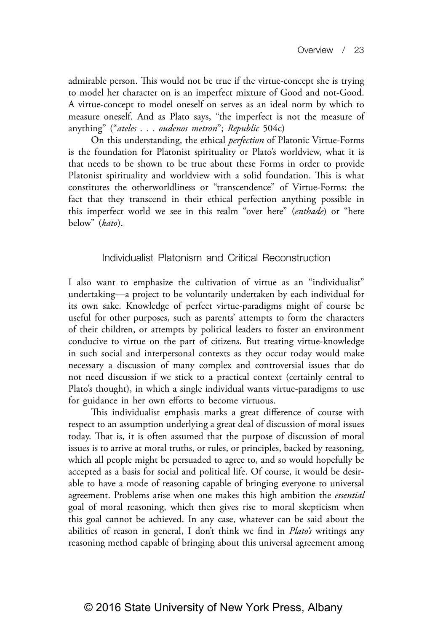admirable person. This would not be true if the virtue-concept she is trying to model her character on is an imperfect mixture of Good and not-Good. A virtue-concept to model oneself on serves as an ideal norm by which to measure oneself. And as Plato says, "the imperfect is not the measure of anything" ("*ateles* . . . *oudenos metron*"; *Republic* 504c)

On this understanding, the ethical *perfection* of Platonic Virtue-Forms is the foundation for Platonist spirituality or Plato's worldview, what it is that needs to be shown to be true about these Forms in order to provide Platonist spirituality and worldview with a solid foundation. This is what constitutes the otherworldliness or "transcendence" of Virtue-Forms: the fact that they transcend in their ethical perfection anything possible in this imperfect world we see in this realm "over here" (*enthade*) or "here below" (*kato*).

## Individualist Platonism and Critical Reconstruction

I also want to emphasize the cultivation of virtue as an "individualist" undertaking—a project to be voluntarily undertaken by each individual for its own sake. Knowledge of perfect virtue-paradigms might of course be useful for other purposes, such as parents' attempts to form the characters of their children, or attempts by political leaders to foster an environment conducive to virtue on the part of citizens. But treating virtue-knowledge in such social and interpersonal contexts as they occur today would make necessary a discussion of many complex and controversial issues that do not need discussion if we stick to a practical context (certainly central to Plato's thought), in which a single individual wants virtue-paradigms to use for guidance in her own efforts to become virtuous.

This individualist emphasis marks a great difference of course with respect to an assumption underlying a great deal of discussion of moral issues today. That is, it is often assumed that the purpose of discussion of moral issues is to arrive at moral truths, or rules, or principles, backed by reasoning, which all people might be persuaded to agree to, and so would hopefully be accepted as a basis for social and political life. Of course, it would be desirable to have a mode of reasoning capable of bringing everyone to universal agreement. Problems arise when one makes this high ambition the *essential*  goal of moral reasoning, which then gives rise to moral skepticism when this goal cannot be achieved. In any case, whatever can be said about the abilities of reason in general, I don't think we find in *Plato's* writings any reasoning method capable of bringing about this universal agreement among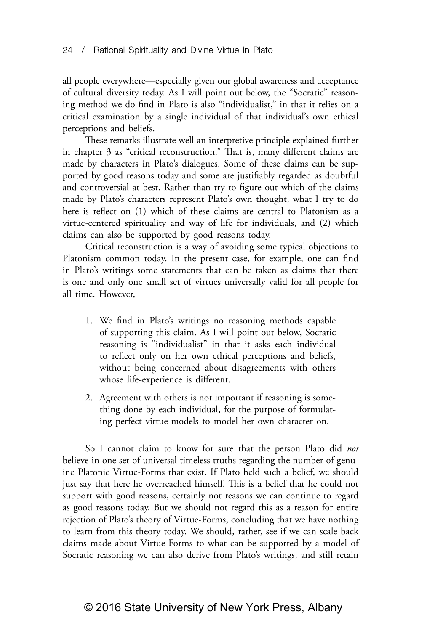all people everywhere—especially given our global awareness and acceptance of cultural diversity today. As I will point out below, the "Socratic" reasoning method we do find in Plato is also "individualist," in that it relies on a critical examination by a single individual of that individual's own ethical perceptions and beliefs.

These remarks illustrate well an interpretive principle explained further in chapter 3 as "critical reconstruction." That is, many different claims are made by characters in Plato's dialogues. Some of these claims can be supported by good reasons today and some are justifiably regarded as doubtful and controversial at best. Rather than try to figure out which of the claims made by Plato's characters represent Plato's own thought, what I try to do here is reflect on (1) which of these claims are central to Platonism as a virtue-centered spirituality and way of life for individuals, and (2) which claims can also be supported by good reasons today.

Critical reconstruction is a way of avoiding some typical objections to Platonism common today. In the present case, for example, one can find in Plato's writings some statements that can be taken as claims that there is one and only one small set of virtues universally valid for all people for all time. However,

- 1. We find in Plato's writings no reasoning methods capable of supporting this claim. As I will point out below, Socratic reasoning is "individualist" in that it asks each individual to reflect only on her own ethical perceptions and beliefs, without being concerned about disagreements with others whose life-experience is different.
- 2. Agreement with others is not important if reasoning is something done by each individual, for the purpose of formulating perfect virtue-models to model her own character on.

So I cannot claim to know for sure that the person Plato did *not* believe in one set of universal timeless truths regarding the number of genuine Platonic Virtue-Forms that exist. If Plato held such a belief, we should just say that here he overreached himself. This is a belief that he could not support with good reasons, certainly not reasons we can continue to regard as good reasons today. But we should not regard this as a reason for entire rejection of Plato's theory of Virtue-Forms, concluding that we have nothing to learn from this theory today. We should, rather, see if we can scale back claims made about Virtue-Forms to what can be supported by a model of Socratic reasoning we can also derive from Plato's writings, and still retain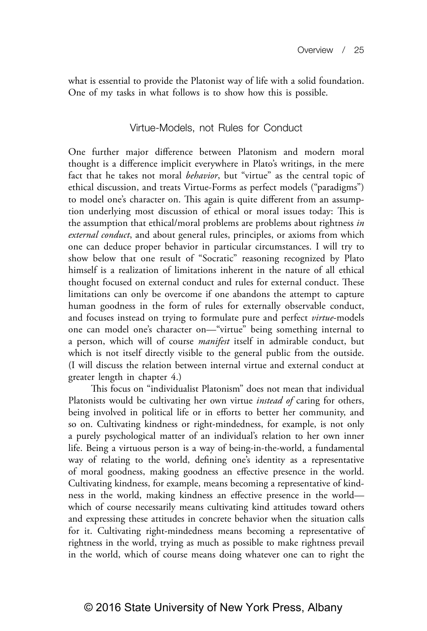what is essential to provide the Platonist way of life with a solid foundation. One of my tasks in what follows is to show how this is possible.

## Virtue-Models, not Rules for Conduct

One further major difference between Platonism and modern moral thought is a difference implicit everywhere in Plato's writings, in the mere fact that he takes not moral *behavior*, but "virtue" as the central topic of ethical discussion, and treats Virtue-Forms as perfect models ("paradigms") to model one's character on. This again is quite different from an assumption underlying most discussion of ethical or moral issues today: This is the assumption that ethical/moral problems are problems about rightness *in external conduct*, and about general rules, principles, or axioms from which one can deduce proper behavior in particular circumstances. I will try to show below that one result of "Socratic" reasoning recognized by Plato himself is a realization of limitations inherent in the nature of all ethical thought focused on external conduct and rules for external conduct. These limitations can only be overcome if one abandons the attempt to capture human goodness in the form of rules for externally observable conduct, and focuses instead on trying to formulate pure and perfect *virtue*-models one can model one's character on—"virtue" being something internal to a person, which will of course *manifest* itself in admirable conduct, but which is not itself directly visible to the general public from the outside. (I will discuss the relation between internal virtue and external conduct at greater length in chapter 4.)

This focus on "individualist Platonism" does not mean that individual Platonists would be cultivating her own virtue *instead of* caring for others, being involved in political life or in efforts to better her community, and so on. Cultivating kindness or right-mindedness, for example, is not only a purely psychological matter of an individual's relation to her own inner life. Being a virtuous person is a way of being-in-the-world, a fundamental way of relating to the world, defining one's identity as a representative of moral goodness, making goodness an effective presence in the world. Cultivating kindness, for example, means becoming a representative of kindness in the world, making kindness an effective presence in the world which of course necessarily means cultivating kind attitudes toward others and expressing these attitudes in concrete behavior when the situation calls for it. Cultivating right-mindedness means becoming a representative of rightness in the world, trying as much as possible to make rightness prevail in the world, which of course means doing whatever one can to right the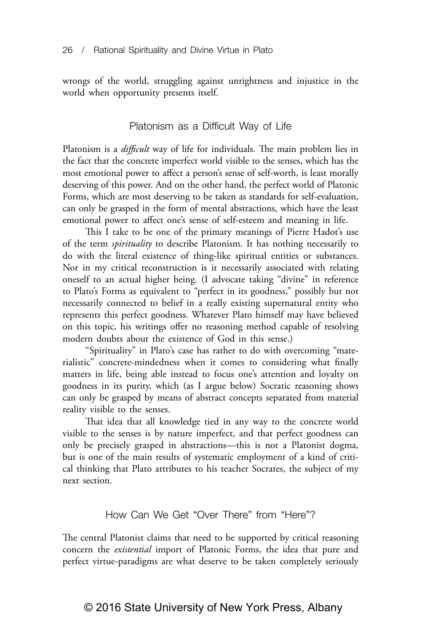wrongs of the world, struggling against unrightness and injustice in the world when opportunity presents itself.

#### Platonism as a Difficult Way of Life

Platonism is a *difficult* way of life for individuals. The main problem lies in the fact that the concrete imperfect world visible to the senses, which has the most emotional power to affect a person's sense of self-worth, is least morally deserving of this power. And on the other hand, the perfect world of Platonic Forms, which are most deserving to be taken as standards for self-evaluation, can only be grasped in the form of mental abstractions, which have the least emotional power to affect one's sense of self-esteem and meaning in life.

This I take to be one of the primary meanings of Pierre Hadot's use of the term *spirituality* to describe Platonism. It has nothing necessarily to do with the literal existence of thing-like spiritual entities or substances. Nor in my critical reconstruction is it necessarily associated with relating oneself to an actual higher being. (I advocate taking "divine" in reference to Plato's Forms as equivalent to "perfect in its goodness," possibly but not necessarily connected to belief in a really existing supernatural entity who represents this perfect goodness. Whatever Plato himself may have believed on this topic, his writings offer no reasoning method capable of resolving modern doubts about the existence of God in this sense.)

"Spirituality" in Plato's case has rather to do with overcoming "materialistic" concrete-mindedness when it comes to considering what finally matters in life, being able instead to focus one's attention and loyalty on goodness in its purity, which (as I argue below) Socratic reasoning shows can only be grasped by means of abstract concepts separated from material reality visible to the senses.

That idea that all knowledge tied in any way to the concrete world visible to the senses is by nature imperfect, and that perfect goodness can only be precisely grasped in abstractions—this is not a Platonist dogma, but is one of the main results of systematic employment of a kind of critical thinking that Plato attributes to his teacher Socrates, the subject of my next section.

## How Can We Get "Over There" from "Here"?

The central Platonist claims that need to be supported by critical reasoning concern the *existential* import of Platonic Forms, the idea that pure and perfect virtue-paradigms are what deserve to be taken completely seriously

## © 2016 State University of New York Press, Albany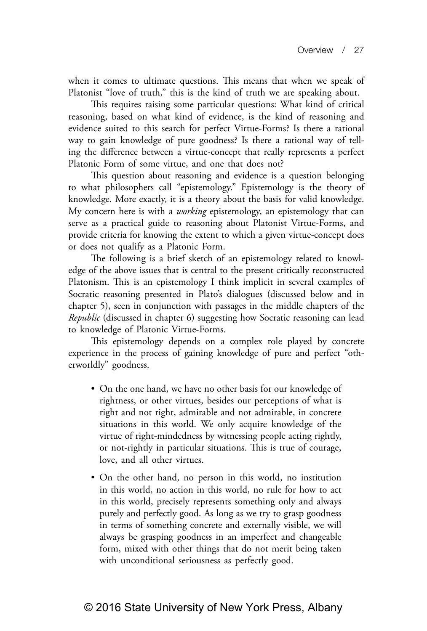when it comes to ultimate questions. This means that when we speak of Platonist "love of truth," this is the kind of truth we are speaking about.

This requires raising some particular questions: What kind of critical reasoning, based on what kind of evidence, is the kind of reasoning and evidence suited to this search for perfect Virtue-Forms? Is there a rational way to gain knowledge of pure goodness? Is there a rational way of telling the difference between a virtue-concept that really represents a perfect Platonic Form of some virtue, and one that does not?

This question about reasoning and evidence is a question belonging to what philosophers call "epistemology." Epistemology is the theory of knowledge. More exactly, it is a theory about the basis for valid knowledge. My concern here is with a *working* epistemology, an epistemology that can serve as a practical guide to reasoning about Platonist Virtue-Forms, and provide criteria for knowing the extent to which a given virtue-concept does or does not qualify as a Platonic Form.

The following is a brief sketch of an epistemology related to knowledge of the above issues that is central to the present critically reconstructed Platonism. This is an epistemology I think implicit in several examples of Socratic reasoning presented in Plato's dialogues (discussed below and in chapter 5), seen in conjunction with passages in the middle chapters of the *Republic* (discussed in chapter 6) suggesting how Socratic reasoning can lead to knowledge of Platonic Virtue-Forms.

This epistemology depends on a complex role played by concrete experience in the process of gaining knowledge of pure and perfect "otherworldly" goodness.

- On the one hand, we have no other basis for our knowledge of rightness, or other virtues, besides our perceptions of what is right and not right, admirable and not admirable, in concrete situations in this world. We only acquire knowledge of the virtue of right-mindedness by witnessing people acting rightly, or not-rightly in particular situations. This is true of courage, love, and all other virtues.
- On the other hand, no person in this world, no institution in this world, no action in this world, no rule for how to act in this world, precisely represents something only and always purely and perfectly good. As long as we try to grasp goodness in terms of something concrete and externally visible, we will always be grasping goodness in an imperfect and changeable form, mixed with other things that do not merit being taken with unconditional seriousness as perfectly good.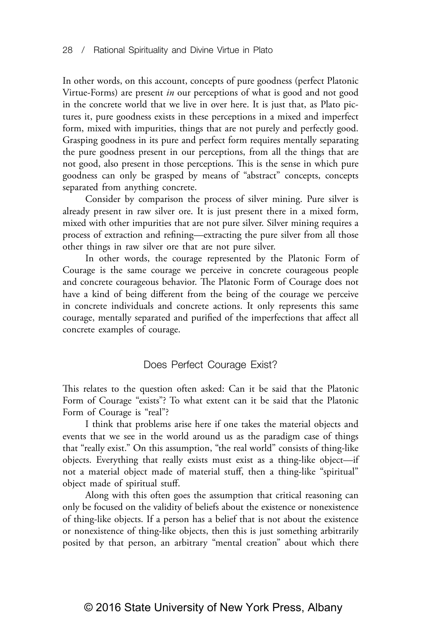In other words, on this account, concepts of pure goodness (perfect Platonic Virtue-Forms) are present *in* our perceptions of what is good and not good in the concrete world that we live in over here. It is just that, as Plato pictures it, pure goodness exists in these perceptions in a mixed and imperfect form, mixed with impurities, things that are not purely and perfectly good. Grasping goodness in its pure and perfect form requires mentally separating the pure goodness present in our perceptions, from all the things that are not good, also present in those perceptions. This is the sense in which pure goodness can only be grasped by means of "abstract" concepts, concepts separated from anything concrete.

Consider by comparison the process of silver mining. Pure silver is already present in raw silver ore. It is just present there in a mixed form, mixed with other impurities that are not pure silver. Silver mining requires a process of extraction and refining—extracting the pure silver from all those other things in raw silver ore that are not pure silver.

In other words, the courage represented by the Platonic Form of Courage is the same courage we perceive in concrete courageous people and concrete courageous behavior. The Platonic Form of Courage does not have a kind of being different from the being of the courage we perceive in concrete individuals and concrete actions. It only represents this same courage, mentally separated and purified of the imperfections that affect all concrete examples of courage.

## Does Perfect Courage Exist?

This relates to the question often asked: Can it be said that the Platonic Form of Courage "exists"? To what extent can it be said that the Platonic Form of Courage is "real"?

I think that problems arise here if one takes the material objects and events that we see in the world around us as the paradigm case of things that "really exist." On this assumption, "the real world" consists of thing-like objects. Everything that really exists must exist as a thing-like object—if not a material object made of material stuff, then a thing-like "spiritual" object made of spiritual stuff.

Along with this often goes the assumption that critical reasoning can only be focused on the validity of beliefs about the existence or nonexistence of thing-like objects. If a person has a belief that is not about the existence or nonexistence of thing-like objects, then this is just something arbitrarily posited by that person, an arbitrary "mental creation" about which there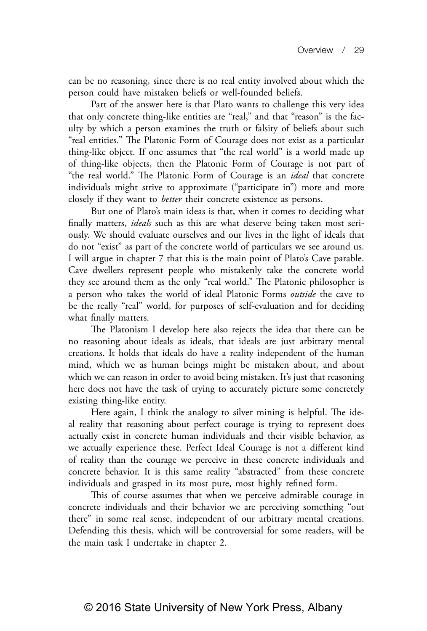can be no reasoning, since there is no real entity involved about which the person could have mistaken beliefs or well-founded beliefs.

Part of the answer here is that Plato wants to challenge this very idea that only concrete thing-like entities are "real," and that "reason" is the faculty by which a person examines the truth or falsity of beliefs about such "real entities." The Platonic Form of Courage does not exist as a particular thing-like object. If one assumes that "the real world" is a world made up of thing-like objects, then the Platonic Form of Courage is not part of "the real world." The Platonic Form of Courage is an *ideal* that concrete individuals might strive to approximate ("participate in") more and more closely if they want to *better* their concrete existence as persons.

But one of Plato's main ideas is that, when it comes to deciding what finally matters, *ideals* such as this are what deserve being taken most seriously. We should evaluate ourselves and our lives in the light of ideals that do not "exist" as part of the concrete world of particulars we see around us. I will argue in chapter 7 that this is the main point of Plato's Cave parable. Cave dwellers represent people who mistakenly take the concrete world they see around them as the only "real world." The Platonic philosopher is a person who takes the world of ideal Platonic Forms *outside* the cave to be the really "real" world, for purposes of self-evaluation and for deciding what finally matters.

The Platonism I develop here also rejects the idea that there can be no reasoning about ideals as ideals, that ideals are just arbitrary mental creations. It holds that ideals do have a reality independent of the human mind, which we as human beings might be mistaken about, and about which we can reason in order to avoid being mistaken. It's just that reasoning here does not have the task of trying to accurately picture some concretely existing thing-like entity.

Here again, I think the analogy to silver mining is helpful. The ideal reality that reasoning about perfect courage is trying to represent does actually exist in concrete human individuals and their visible behavior, as we actually experience these. Perfect Ideal Courage is not a different kind of reality than the courage we perceive in these concrete individuals and concrete behavior. It is this same reality "abstracted" from these concrete individuals and grasped in its most pure, most highly refined form.

This of course assumes that when we perceive admirable courage in concrete individuals and their behavior we are perceiving something "out there" in some real sense, independent of our arbitrary mental creations. Defending this thesis, which will be controversial for some readers, will be the main task I undertake in chapter 2.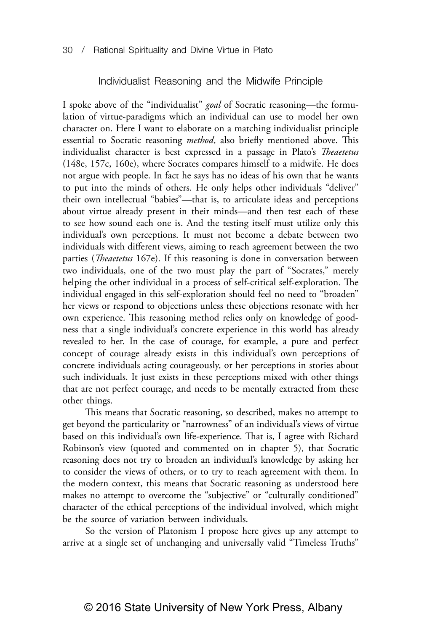#### 30 / Rational Spirituality and Divine Virtue in Plato

### Individualist Reasoning and the Midwife Principle

I spoke above of the "individualist" *goal* of Socratic reasoning—the formulation of virtue-paradigms which an individual can use to model her own character on. Here I want to elaborate on a matching individualist principle essential to Socratic reasoning *method*, also briefly mentioned above. This individualist character is best expressed in a passage in Plato's *Theaetetus* (148e, 157c, 160e), where Socrates compares himself to a midwife. He does not argue with people. In fact he says has no ideas of his own that he wants to put into the minds of others. He only helps other individuals "deliver" their own intellectual "babies"—that is, to articulate ideas and perceptions about virtue already present in their minds—and then test each of these to see how sound each one is. And the testing itself must utilize only this individual's own perceptions. It must not become a debate between two individuals with different views, aiming to reach agreement between the two parties (*Theaetetus* 167e). If this reasoning is done in conversation between two individuals, one of the two must play the part of "Socrates," merely helping the other individual in a process of self-critical self-exploration. The individual engaged in this self-exploration should feel no need to "broaden" her views or respond to objections unless these objections resonate with her own experience. This reasoning method relies only on knowledge of goodness that a single individual's concrete experience in this world has already revealed to her. In the case of courage, for example, a pure and perfect concept of courage already exists in this individual's own perceptions of concrete individuals acting courageously, or her perceptions in stories about such individuals. It just exists in these perceptions mixed with other things that are not perfect courage, and needs to be mentally extracted from these other things.

This means that Socratic reasoning, so described, makes no attempt to get beyond the particularity or "narrowness" of an individual's views of virtue based on this individual's own life-experience. That is, I agree with Richard Robinson's view (quoted and commented on in chapter 5), that Socratic reasoning does not try to broaden an individual's knowledge by asking her to consider the views of others, or to try to reach agreement with them. In the modern context, this means that Socratic reasoning as understood here makes no attempt to overcome the "subjective" or "culturally conditioned" character of the ethical perceptions of the individual involved, which might be the source of variation between individuals.

So the version of Platonism I propose here gives up any attempt to arrive at a single set of unchanging and universally valid "Timeless Truths"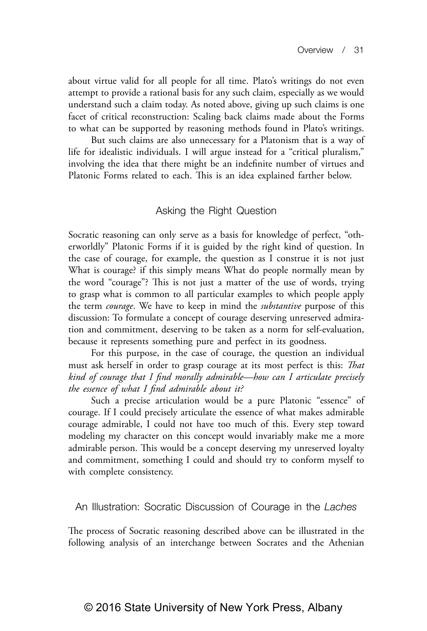about virtue valid for all people for all time. Plato's writings do not even attempt to provide a rational basis for any such claim, especially as we would understand such a claim today. As noted above, giving up such claims is one facet of critical reconstruction: Scaling back claims made about the Forms to what can be supported by reasoning methods found in Plato's writings.

But such claims are also unnecessary for a Platonism that is a way of life for idealistic individuals. I will argue instead for a "critical pluralism," involving the idea that there might be an indefinite number of virtues and Platonic Forms related to each. This is an idea explained farther below.

## Asking the Right Question

Socratic reasoning can only serve as a basis for knowledge of perfect, "otherworldly" Platonic Forms if it is guided by the right kind of question. In the case of courage, for example, the question as I construe it is not just What is courage? if this simply means What do people normally mean by the word "courage"? This is not just a matter of the use of words, trying to grasp what is common to all particular examples to which people apply the term *courage*. We have to keep in mind the *substantive* purpose of this discussion: To formulate a concept of courage deserving unreserved admiration and commitment, deserving to be taken as a norm for self-evaluation, because it represents something pure and perfect in its goodness.

For this purpose, in the case of courage, the question an individual must ask herself in order to grasp courage at its most perfect is this: *That kind of courage that I find morally admirable—how can I articulate precisely the essence of what I find admirable about it?* 

Such a precise articulation would be a pure Platonic "essence" of courage. If I could precisely articulate the essence of what makes admirable courage admirable, I could not have too much of this. Every step toward modeling my character on this concept would invariably make me a more admirable person. This would be a concept deserving my unreserved loyalty and commitment, something I could and should try to conform myself to with complete consistency.

An Illustration: Socratic Discussion of Courage in the *Laches*

The process of Socratic reasoning described above can be illustrated in the following analysis of an interchange between Socrates and the Athenian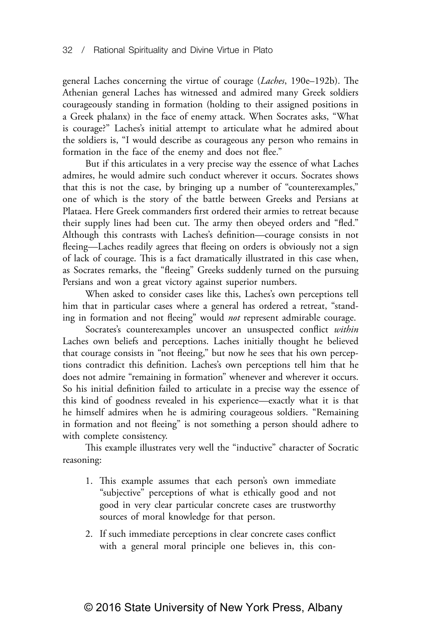general Laches concerning the virtue of courage (*Laches*, 190e–192b). The Athenian general Laches has witnessed and admired many Greek soldiers courageously standing in formation (holding to their assigned positions in a Greek phalanx) in the face of enemy attack. When Socrates asks, "What is courage?" Laches's initial attempt to articulate what he admired about the soldiers is, "I would describe as courageous any person who remains in formation in the face of the enemy and does not flee."

But if this articulates in a very precise way the essence of what Laches admires, he would admire such conduct wherever it occurs. Socrates shows that this is not the case, by bringing up a number of "counterexamples," one of which is the story of the battle between Greeks and Persians at Plataea. Here Greek commanders first ordered their armies to retreat because their supply lines had been cut. The army then obeyed orders and "fled." Although this contrasts with Laches's definition—courage consists in not fleeing—Laches readily agrees that fleeing on orders is obviously not a sign of lack of courage. This is a fact dramatically illustrated in this case when, as Socrates remarks, the "fleeing" Greeks suddenly turned on the pursuing Persians and won a great victory against superior numbers.

When asked to consider cases like this, Laches's own perceptions tell him that in particular cases where a general has ordered a retreat, "standing in formation and not fleeing" would *not* represent admirable courage.

Socrates's counterexamples uncover an unsuspected conflict *within*  Laches own beliefs and perceptions. Laches initially thought he believed that courage consists in "not fleeing," but now he sees that his own perceptions contradict this definition. Laches's own perceptions tell him that he does not admire "remaining in formation" whenever and wherever it occurs. So his initial definition failed to articulate in a precise way the essence of this kind of goodness revealed in his experience—exactly what it is that he himself admires when he is admiring courageous soldiers. "Remaining in formation and not fleeing" is not something a person should adhere to with complete consistency.

This example illustrates very well the "inductive" character of Socratic reasoning:

- 1. This example assumes that each person's own immediate "subjective" perceptions of what is ethically good and not good in very clear particular concrete cases are trustworthy sources of moral knowledge for that person.
- 2. If such immediate perceptions in clear concrete cases conflict with a general moral principle one believes in, this con-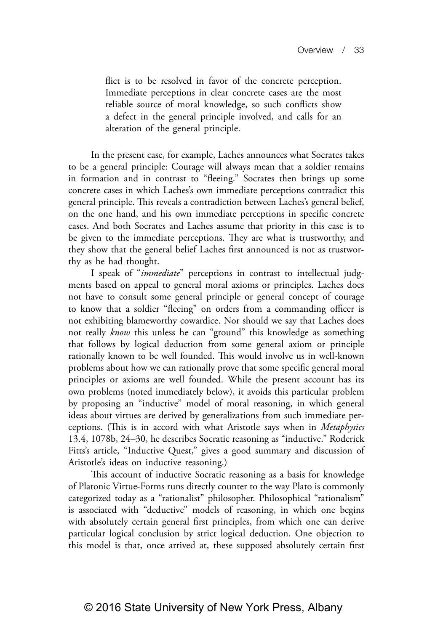flict is to be resolved in favor of the concrete perception. Immediate perceptions in clear concrete cases are the most reliable source of moral knowledge, so such conflicts show a defect in the general principle involved, and calls for an alteration of the general principle.

In the present case, for example, Laches announces what Socrates takes to be a general principle: Courage will always mean that a soldier remains in formation and in contrast to "fleeing." Socrates then brings up some concrete cases in which Laches's own immediate perceptions contradict this general principle. This reveals a contradiction between Laches's general belief, on the one hand, and his own immediate perceptions in specific concrete cases. And both Socrates and Laches assume that priority in this case is to be given to the immediate perceptions. They are what is trustworthy, and they show that the general belief Laches first announced is not as trustworthy as he had thought.

I speak of "*immediate*" perceptions in contrast to intellectual judgments based on appeal to general moral axioms or principles. Laches does not have to consult some general principle or general concept of courage to know that a soldier "fleeing" on orders from a commanding officer is not exhibiting blameworthy cowardice. Nor should we say that Laches does not really *know* this unless he can "ground" this knowledge as something that follows by logical deduction from some general axiom or principle rationally known to be well founded. This would involve us in well-known problems about how we can rationally prove that some specific general moral principles or axioms are well founded. While the present account has its own problems (noted immediately below), it avoids this particular problem by proposing an "inductive" model of moral reasoning, in which general ideas about virtues are derived by generalizations from such immediate perceptions. (This is in accord with what Aristotle says when in *Metaphysics*  13.4, 1078b, 24–30, he describes Socratic reasoning as "inductive." Roderick Fitts's article, "Inductive Quest," gives a good summary and discussion of Aristotle's ideas on inductive reasoning.)

This account of inductive Socratic reasoning as a basis for knowledge of Platonic Virtue-Forms runs directly counter to the way Plato is commonly categorized today as a "rationalist" philosopher. Philosophical "rationalism" is associated with "deductive" models of reasoning, in which one begins with absolutely certain general first principles, from which one can derive particular logical conclusion by strict logical deduction. One objection to this model is that, once arrived at, these supposed absolutely certain first